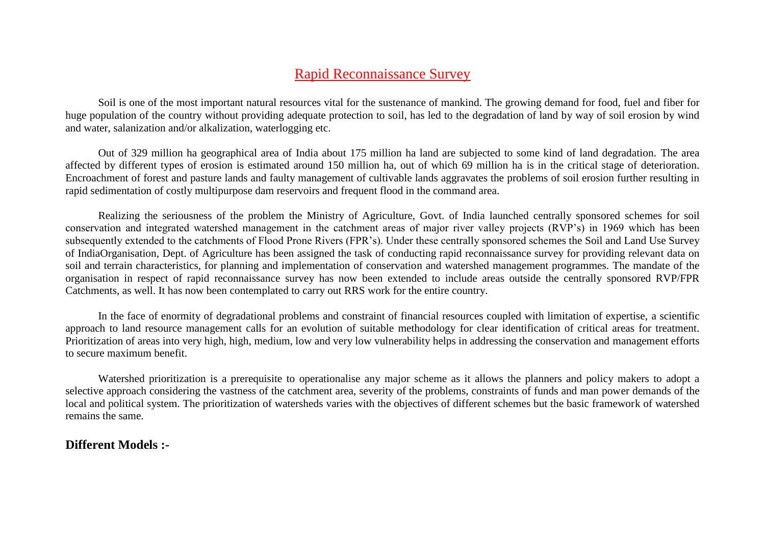# Rapid Reconnaissance Survey

Soil is one of the most important natural resources vital for the sustenance of mankind. The growing demand for food, fuel and fiber for huge population of the country without providing adequate protection to soil, has led to the degradation of land by way of soil erosion by wind and water, salanization and/or alkalization, waterlogging etc.

Out of 329 million ha geographical area of India about 175 million ha land are subjected to some kind of land degradation. The area affected by different types of erosion is estimated around 150 million ha, out of which 69 million ha is in the critical stage of deterioration. Encroachment of forest and pasture lands and faulty management of cultivable lands aggravates the problems of soil erosion further resulting in rapid sedimentation of costly multipurpose dam reservoirs and frequent flood in the command area.

Realizing the seriousness of the problem the Ministry of Agriculture, Govt. of India launched centrally sponsored schemes for soil conservation and integrated watershed management in the catchment areas of major river valley projects (RVP's) in 1969 which has been subsequently extended to the catchments of Flood Prone Rivers (FPR's). Under these centrally sponsored schemes the Soil and Land Use Survey of IndiaOrganisation, Dept. of Agriculture has been assigned the task of conducting rapid reconnaissance survey for providing relevant data on soil and terrain characteristics, for planning and implementation of conservation and watershed management programmes. The mandate of the organisation in respect of rapid reconnaissance survey has now been extended to include areas outside the centrally sponsored RVP/FPR Catchments, as well. It has now been contemplated to carry out RRS work for the entire country.

In the face of enormity of degradational problems and constraint of financial resources coupled with limitation of expertise, a scientific approach to land resource management calls for an evolution of suitable methodology for clear identification of critical areas for treatment. Prioritization of areas into very high, high, medium, low and very low vulnerability helps in addressing the conservation and management efforts to secure maximum benefit.

Watershed prioritization is a prerequisite to operationalise any major scheme as it allows the planners and policy makers to adopt a selective approach considering the vastness of the catchment area, severity of the problems, constraints of funds and man power demands of the local and political system. The prioritization of watersheds varies with the objectives of different schemes but the basic framework of watershed remains the same.

## **Different Models :-**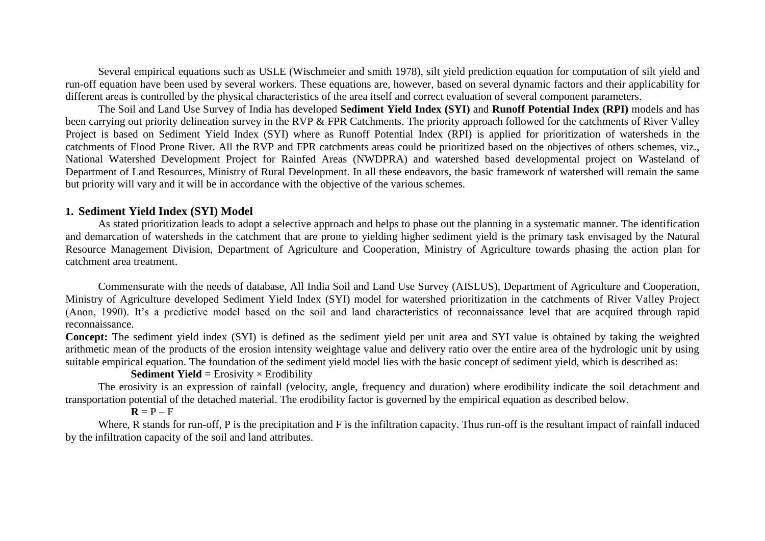Several empirical equations such as USLE (Wischmeier and smith 1978), silt yield prediction equation for computation of silt yield and run-off equation have been used by several workers. These equations are, however, based on several dynamic factors and their applicability for different areas is controlled by the physical characteristics of the area itself and correct evaluation of several component parameters.

The Soil and Land Use Survey of India has developed **Sediment Yield Index (SYI)** and **Runoff Potential Index (RPI)** models and has been carrying out priority delineation survey in the RVP & FPR Catchments. The priority approach followed for the catchments of River Valley Project is based on Sediment Yield Index (SYI) where as Runoff Potential Index (RPI) is applied for prioritization of watersheds in the catchments of Flood Prone River. All the RVP and FPR catchments areas could be prioritized based on the objectives of others schemes, viz., National Watershed Development Project for Rainfed Areas (NWDPRA) and watershed based developmental project on Wasteland of Department of Land Resources, Ministry of Rural Development. In all these endeavors, the basic framework of watershed will remain the same but priority will vary and it will be in accordance with the objective of the various schemes.

### **1. Sediment Yield Index (SYI) Model**

As stated prioritization leads to adopt a selective approach and helps to phase out the planning in a systematic manner. The identification and demarcation of watersheds in the catchment that are prone to yielding higher sediment yield is the primary task envisaged by the Natural Resource Management Division, Department of Agriculture and Cooperation, Ministry of Agriculture towards phasing the action plan for catchment area treatment.

Commensurate with the needs of database, All India Soil and Land Use Survey (AISLUS), Department of Agriculture and Cooperation, Ministry of Agriculture developed Sediment Yield Index (SYI) model for watershed prioritization in the catchments of River Valley Project (Anon, 1990). It's a predictive model based on the soil and land characteristics of reconnaissance level that are acquired through rapid reconnaissance.

**Concept:** The sediment yield index (SYI) is defined as the sediment yield per unit area and SYI value is obtained by taking the weighted arithmetic mean of the products of the erosion intensity weightage value and delivery ratio over the entire area of the hydrologic unit by using suitable empirical equation. The foundation of the sediment yield model lies with the basic concept of sediment yield, which is described as:

#### **Sediment Yield** = Erosivity  $\times$  Erodibility

The erosivity is an expression of rainfall (velocity, angle, frequency and duration) where erodibility indicate the soil detachment and transportation potential of the detached material. The erodibility factor is governed by the empirical equation as described below.

#### $R = P - F$

Where, R stands for run-off, P is the precipitation and F is the infiltration capacity. Thus run-off is the resultant impact of rainfall induced by the infiltration capacity of the soil and land attributes.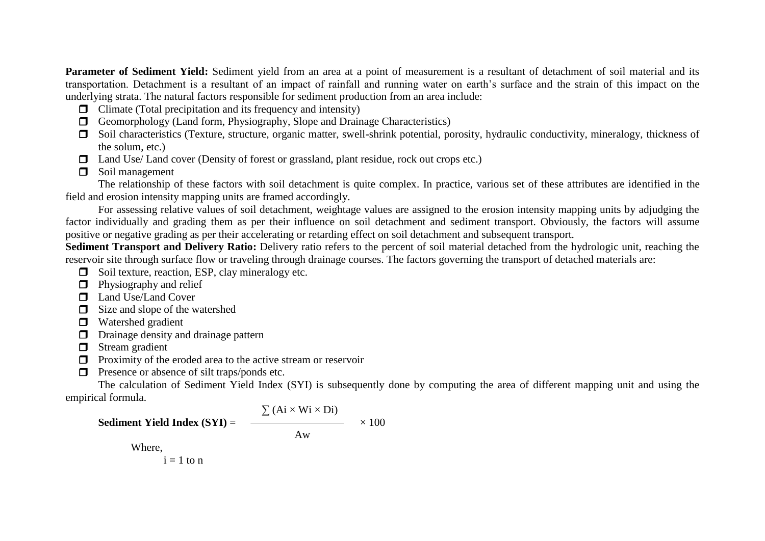Parameter of Sediment Yield: Sediment yield from an area at a point of measurement is a resultant of detachment of soil material and its transportation. Detachment is a resultant of an impact of rainfall and running water on earth's surface and the strain of this impact on the underlying strata. The natural factors responsible for sediment production from an area include:

- $\Box$  Climate (Total precipitation and its frequency and intensity)
- $\Box$  Geomorphology (Land form, Physiography, Slope and Drainage Characteristics)
- Soil characteristics (Texture, structure, organic matter, swell-shrink potential, porosity, hydraulic conductivity, mineralogy, thickness of the solum, etc.)
- $\Box$  Land Use/ Land cover (Density of forest or grassland, plant residue, rock out crops etc.)
- **Soil management**

The relationship of these factors with soil detachment is quite complex. In practice, various set of these attributes are identified in the field and erosion intensity mapping units are framed accordingly.

For assessing relative values of soil detachment, weightage values are assigned to the erosion intensity mapping units by adjudging the factor individually and grading them as per their influence on soil detachment and sediment transport. Obviously, the factors will assume positive or negative grading as per their accelerating or retarding effect on soil detachment and subsequent transport.

**Sediment Transport and Delivery Ratio:** Delivery ratio refers to the percent of soil material detached from the hydrologic unit, reaching the reservoir site through surface flow or traveling through drainage courses. The factors governing the transport of detached materials are:

- $\Box$  Soil texture, reaction, ESP, clay mineralogy etc.
- $\Box$  Physiography and relief
- **Land Use/Land Cover**
- $\Box$  Size and slope of the watershed
- **D** Watershed gradient
- D Drainage density and drainage pattern
- $\Box$  Stream gradient
- $\Box$  Proximity of the eroded area to the active stream or reservoir
- $\Box$  Presence or absence of silt traps/ponds etc.

The calculation of Sediment Yield Index (SYI) is subsequently done by computing the area of different mapping unit and using the empirical formula.

**Sediment Yield Index (SYI)** = 
$$
\frac{\sum (Ai \times Wi \times Di)}{Aw} \times 100
$$
Where,

 $i = 1$  to n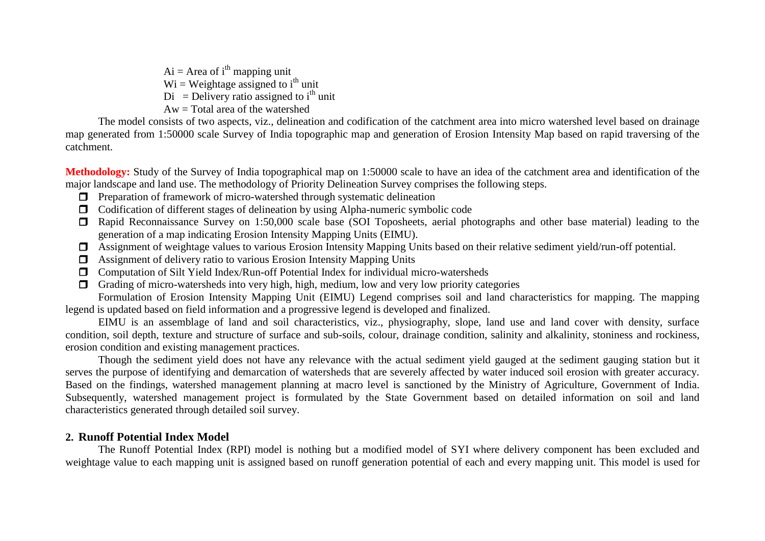$Ai = Area of i<sup>th</sup> maping unit$  $Wi = Weightage assigned to i<sup>th</sup> unit$  $Di =$  Delivery ratio assigned to i<sup>th</sup> unit Aw = Total area of the watershed

The model consists of two aspects, viz., delineation and codification of the catchment area into micro watershed level based on drainage map generated from 1:50000 scale Survey of India topographic map and generation of Erosion Intensity Map based on rapid traversing of the catchment.

**Methodology:** Study of the Survey of India topographical map on 1:50000 scale to have an idea of the catchment area and identification of the major landscape and land use. The methodology of Priority Delineation Survey comprises the following steps.

- $\Box$  Preparation of framework of micro-watershed through systematic delineation
- Codification of different stages of delineation by using Alpha-numeric symbolic code
- Rapid Reconnaissance Survey on 1:50,000 scale base (SOI Toposheets, aerial photographs and other base material) leading to the generation of a map indicating Erosion Intensity Mapping Units (EIMU).
- Assignment of weightage values to various Erosion Intensity Mapping Units based on their relative sediment yield/run-off potential.
- Assignment of delivery ratio to various Erosion Intensity Mapping Units
- Computation of Silt Yield Index/Run-off Potential Index for individual micro-watersheds
- Grading of micro-watersheds into very high, high, medium, low and very low priority categories

Formulation of Erosion Intensity Mapping Unit (EIMU) Legend comprises soil and land characteristics for mapping. The mapping legend is updated based on field information and a progressive legend is developed and finalized.

EIMU is an assemblage of land and soil characteristics, viz., physiography, slope, land use and land cover with density, surface condition, soil depth, texture and structure of surface and sub-soils, colour, drainage condition, salinity and alkalinity, stoniness and rockiness, erosion condition and existing management practices.

Though the sediment yield does not have any relevance with the actual sediment yield gauged at the sediment gauging station but it serves the purpose of identifying and demarcation of watersheds that are severely affected by water induced soil erosion with greater accuracy. Based on the findings, watershed management planning at macro level is sanctioned by the Ministry of Agriculture, Government of India. Subsequently, watershed management project is formulated by the State Government based on detailed information on soil and land characteristics generated through detailed soil survey.

## **2. Runoff Potential Index Model**

The Runoff Potential Index (RPI) model is nothing but a modified model of SYI where delivery component has been excluded and weightage value to each mapping unit is assigned based on runoff generation potential of each and every mapping unit. This model is used for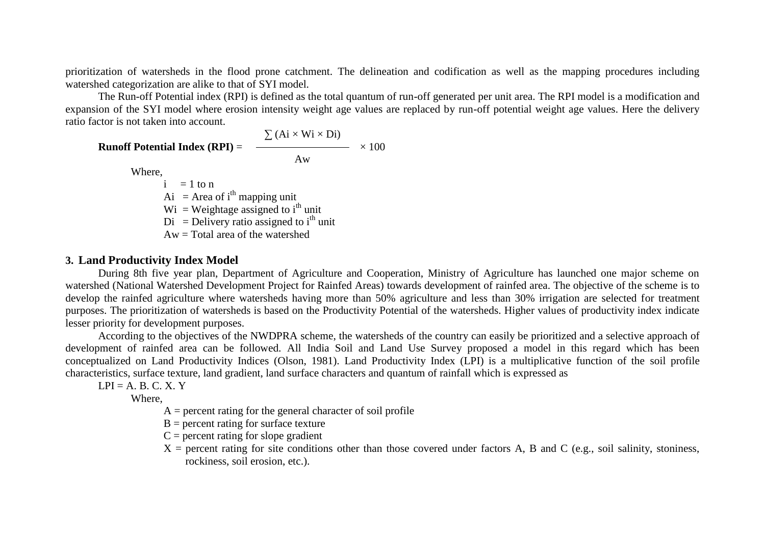prioritization of watersheds in the flood prone catchment. The delineation and codification as well as the mapping procedures including watershed categorization are alike to that of SYI model.

The Run-off Potential index (RPI) is defined as the total quantum of run-off generated per unit area. The RPI model is a modification and expansion of the SYI model where erosion intensity weight age values are replaced by run-off potential weight age values. Here the delivery ratio factor is not taken into account.

 $\sum (Ai \times Wi \times Di)$ **Runoff Potential Index (RPI)** =  $\longrightarrow$   $\times 100$ Aw Where,  $i = 1$  to n Ai = Area of  $i<sup>th</sup>$  mapping unit  $Wi = Weightage assigned to i<sup>th</sup> unit$  $Di =$  Delivery ratio assigned to i<sup>th</sup> unit Aw = Total area of the watershed

### **3. Land Productivity Index Model**

During 8th five year plan, Department of Agriculture and Cooperation, Ministry of Agriculture has launched one major scheme on watershed (National Watershed Development Project for Rainfed Areas) towards development of rainfed area. The objective of the scheme is to develop the rainfed agriculture where watersheds having more than 50% agriculture and less than 30% irrigation are selected for treatment purposes. The prioritization of watersheds is based on the Productivity Potential of the watersheds. Higher values of productivity index indicate lesser priority for development purposes.

According to the objectives of the NWDPRA scheme, the watersheds of the country can easily be prioritized and a selective approach of development of rainfed area can be followed. All India Soil and Land Use Survey proposed a model in this regard which has been conceptualized on Land Productivity Indices (Olson, 1981). Land Productivity Index (LPI) is a multiplicative function of the soil profile characteristics, surface texture, land gradient, land surface characters and quantum of rainfall which is expressed as

 $LPI = A$ . B. C. X. Y

Where,

- $A =$  percent rating for the general character of soil profile
- $B =$  percent rating for surface texture
- $C =$  percent rating for slope gradient
- $X =$  percent rating for site conditions other than those covered under factors A, B and C (e.g., soil salinity, stoniness, rockiness, soil erosion, etc.).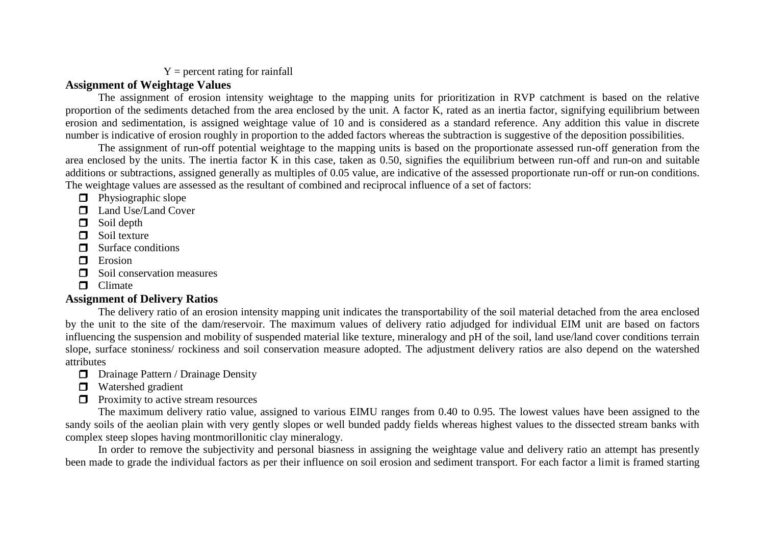## $Y =$  percent rating for rainfall

## **Assignment of Weightage Values**

The assignment of erosion intensity weightage to the mapping units for prioritization in RVP catchment is based on the relative proportion of the sediments detached from the area enclosed by the unit. A factor K, rated as an inertia factor, signifying equilibrium between erosion and sedimentation, is assigned weightage value of 10 and is considered as a standard reference. Any addition this value in discrete number is indicative of erosion roughly in proportion to the added factors whereas the subtraction is suggestive of the deposition possibilities.

The assignment of run-off potential weightage to the mapping units is based on the proportionate assessed run-off generation from the area enclosed by the units. The inertia factor K in this case, taken as 0.50, signifies the equilibrium between run-off and run-on and suitable additions or subtractions, assigned generally as multiples of 0.05 value, are indicative of the assessed proportionate run-off or run-on conditions. The weightage values are assessed as the resultant of combined and reciprocal influence of a set of factors:

- $\Box$  Physiographic slope
- **Land Use/Land Cover**
- Soil depth
- $\Box$  Soil texture
- $\Box$  Surface conditions
- $\blacksquare$  Erosion
- $\Box$  Soil conservation measures
- **O** Climate

# **Assignment of Delivery Ratios**

The delivery ratio of an erosion intensity mapping unit indicates the transportability of the soil material detached from the area enclosed by the unit to the site of the dam/reservoir. The maximum values of delivery ratio adjudged for individual EIM unit are based on factors influencing the suspension and mobility of suspended material like texture, mineralogy and pH of the soil, land use/land cover conditions terrain slope, surface stoniness/ rockiness and soil conservation measure adopted. The adjustment delivery ratios are also depend on the watershed attributes

- **D** Drainage Pattern / Drainage Density
- **D** Watershed gradient
- $\Box$  Proximity to active stream resources

The maximum delivery ratio value, assigned to various EIMU ranges from 0.40 to 0.95. The lowest values have been assigned to the sandy soils of the aeolian plain with very gently slopes or well bunded paddy fields whereas highest values to the dissected stream banks with complex steep slopes having montmorillonitic clay mineralogy.

In order to remove the subjectivity and personal biasness in assigning the weightage value and delivery ratio an attempt has presently been made to grade the individual factors as per their influence on soil erosion and sediment transport. For each factor a limit is framed starting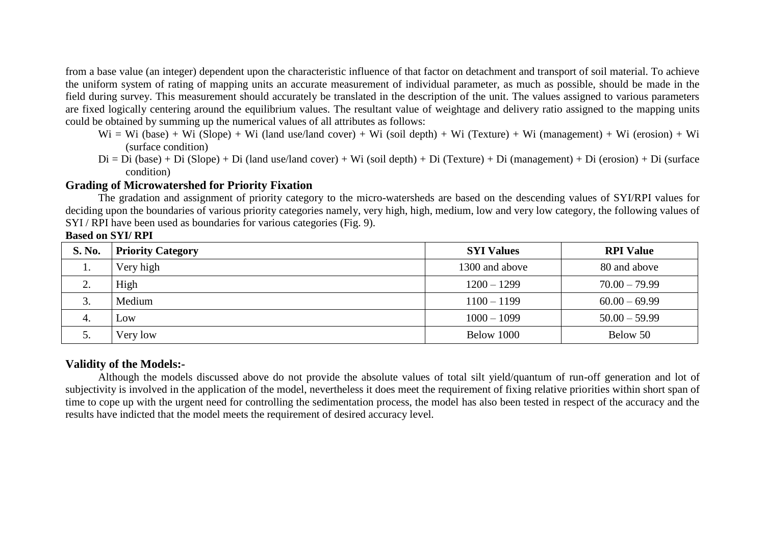from a base value (an integer) dependent upon the characteristic influence of that factor on detachment and transport of soil material. To achieve the uniform system of rating of mapping units an accurate measurement of individual parameter, as much as possible, should be made in the field during survey. This measurement should accurately be translated in the description of the unit. The values assigned to various parameters are fixed logically centering around the equilibrium values. The resultant value of weightage and delivery ratio assigned to the mapping units could be obtained by summing up the numerical values of all attributes as follows:

- $Wi = Wi$  (base) + Wi (Slope) + Wi (land use/land cover) + Wi (soil depth) + Wi (Texture) + Wi (management) + Wi (erosion) + Wi (surface condition)
- $Di = Di (base) + Di (Slope) + Di (land use/land cover) + Wi (soil depth) + Di (Texture) + Di (management) + Di (erosion) + Di (surface)$ condition)

## **Grading of Microwatershed for Priority Fixation**

The gradation and assignment of priority category to the micro-watersheds are based on the descending values of SYI/RPI values for deciding upon the boundaries of various priority categories namely, very high, high, medium, low and very low category, the following values of SYI / RPI have been used as boundaries for various categories (Fig. 9).

### **Based on SYI/ RPI**

| <b>S. No.</b>           | <b>Priority Category</b> | <b>SYI Values</b> | <b>RPI Value</b> |
|-------------------------|--------------------------|-------------------|------------------|
| ı.                      | Very high                | 1300 and above    | 80 and above     |
| $\bigcap$<br><u>L</u> . | High                     | $1200 - 1299$     | $70.00 - 79.99$  |
| J.                      | Medium                   | $1100 - 1199$     | $60.00 - 69.99$  |
| 4.                      | $\overline{\text{OW}}$   | $1000 - 1099$     | $50.00 - 59.99$  |
|                         | Very low                 | Below 1000        | Below 50         |

## **Validity of the Models:-**

Although the models discussed above do not provide the absolute values of total silt yield/quantum of run-off generation and lot of subjectivity is involved in the application of the model, nevertheless it does meet the requirement of fixing relative priorities within short span of time to cope up with the urgent need for controlling the sedimentation process, the model has also been tested in respect of the accuracy and the results have indicted that the model meets the requirement of desired accuracy level.